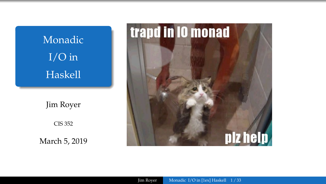<span id="page-0-0"></span>

March 5, 2019



Jim Royer [Monadic I/O in \[1ex\] Haskell](#page-38-0) 1/33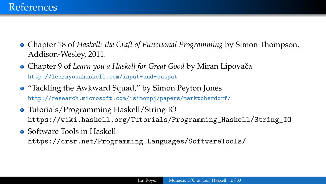- Chapter 18 of *Haskell: the Craft of Functional Programming* by Simon Thompson, Addison-Wesley, 2011.
- **Chapter 9 of** *Learn you a Haskell for Great Good* **by Miran Lipovača** <http://learnyouahaskell.com/input-and-output>
- "Tackling the Awkward Squad," by Simon Peyton Jones <http://research.microsoft.com/~simonpj/papers/marktoberdorf/>
- Tutorials/Programming Haskell/String IO [https://wiki.haskell.org/Tutorials/Programming\\_Haskell/String\\_IO](https://wiki.haskell.org/Tutorials/Programming_Haskell/String_IO)
- **Software Tools in Haskell** [https://crsr.net/Programming\\_Languages/SoftwareTools/](https://crsr.net/Programming_Languages/SoftwareTools/)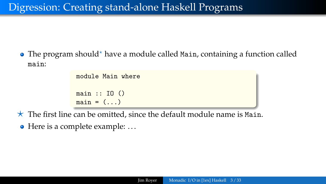$\bullet$  The program should\* have a module called Main, containing a function called main:

> module Main where main :: IO ()  $main = (...)$

 $\star$  The first line can be omitted, since the default module name is Main.

 $\bullet$  Here is a complete example: ...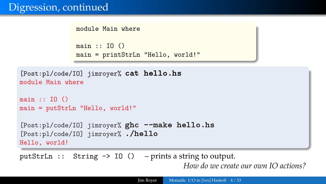module Main where

```
main :: ID()main = printStrLn "Hello, world!"
```

```
[Post:pl/code/IO] jimroyer% cat hello.hs
module Main where
main :: T0()main = putStrLn "Hello, world!"
[Post:pl/code/IO] jimroyer% ghc --make hello.hs
[Post:pl/code/IO] jimroyer% ./hello
Hello, world!
```
putStrLn :: String -> IO () – prints a string to output. *How do we create our own IO actions?*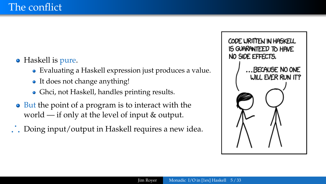- Haskell is pure.
	- Evaluating a Haskell expression just produces a value.
	- It does not change anything!
	- Ghci, not Haskell, handles printing results.
- But the point of a program is to interact with the world — if only at the level of input & output.
- ∴ Doing input/output in Haskell requires a new idea.

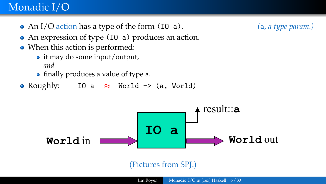### Monadic I/O A helpful picture

- An I/O action has a type of the form (IO a). *(*a*, a type param.)*
- An expression of type (I0 a) produces an action.
- When this action is performed:
	- it may do some input/output, *and*
	- finally produces a value of type a.<br> *t***ype IO**
- Roughly: IO a  $\approx$  World -> (a, World)



### (Pictures from SPJ.)

#### Jim Royer [Monadic I/O in \[1ex\] Haskell](#page-0-0) 6/33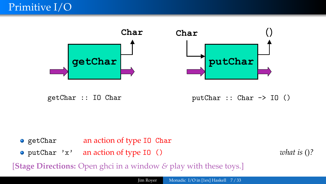



- **main :: IO ()** getChar an action of type IO Char
- **main = putChar 'x'** putChar 'x' an action of type IO () *what is* ()*?*

14<br>14 Marca 14<br>14 Marca 14

[**Stage Directions:** Open ghci in a window *&* play with these toys.]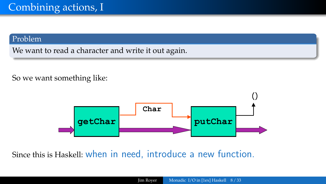#### Problem

We want to read a character and write it out again.

### So we want something like:  $\frac{1}{\sqrt{2}}$



Goal: read a character and then write it back out Since this is Haskell: when in need, introduce a new function.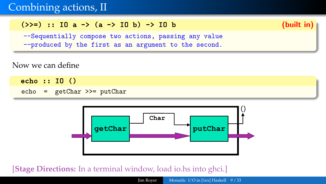# Combining actions, II

### $(\ge) =)$  :: IO a  $\ge$  (a  $\ge$  IO b)  $\ge$  IO b (built in)



--Sequentially compose two actions, passing any value

--produced by the first as an argument to the second.

### Now we can define

echo :: IO () echo = getChar >>= putChar **Expanding the set of the set of the set of the set of the set of the set of the set of the set of the set of the set of the set of the set of the set of the set of the set of the set of the set of the set of the set of th** 



#### ! We have connected two actions to make a new, **[Stage Directions:** In a terminal window, load io.hs into ghci.]

Jim Royer [Monadic I/O in \[1ex\] Haskell](#page-0-0) 9/33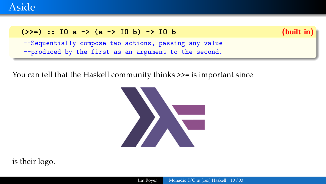

### (>>=) :: IO a -> (a -> IO b) -> IO b (built in)

--Sequentially compose two actions, passing any value --produced by the first as an argument to the second.

You can tell that the Haskell community thinks >>= is important since



is their logo.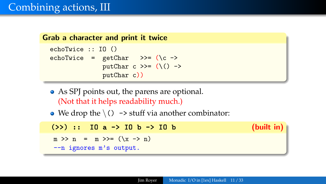```
Grab a character and print it twice
  echoTwice :: IO ()
  echoTwice = getChar >>= (\c ->
                putChar c \gg=(\setminus) ->
                putChar c))
```
- As SPJ points out, the parens are optional. (Not that it helps readability much.)
- We drop the  $\setminus$  () -> stuff via another combinator:

 $(2)$  :: IO a  $-$  IO b  $-$  IO b (built in)  $m \gg n = m \gg (x \to n)$ --n ignores m's output.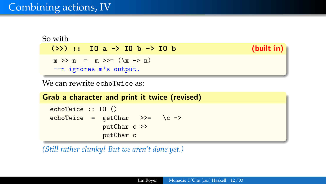# Combining actions, IV

```
So with
  (>) :: IO a -> IO b -> IO b (built in)
  m \gg n = m \gg (x \to n)--n ignores m's output.
```
We can rewrite echoTwice as:

|                                       |              | Grab a character and print it twice (revised) |
|---------------------------------------|--------------|-----------------------------------------------|
| echoTwice $::$ IO $()$                |              |                                               |
| echoTwice = $getChar \t>>= \t/c \t>>$ |              |                                               |
|                                       | putChar c >> |                                               |
|                                       | putChar c    |                                               |

*(Still rather clunky! But we aren't done yet.)*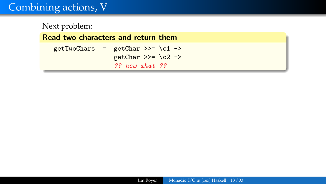# Combining actions, V

Next problem: Read two characters and return them getTwoChars =  $getChar \gg = \c1 \rightarrow$ getChar >>=  $\c2$  -> ?? now what ??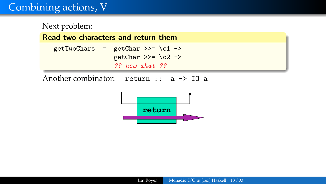# Combining actions, V

Next problem: **Read two characters and return them**  $getTwoChars = getChar >> \c1 ->$ getChar >>=  $\c2$  -> ?? now what ?? Another combinator: return :: a -> IO a **getTwoChars :: IO (Charg) getTwoChars =**  $\frac{1}{2}$  ->  $\frac{1}{2}$  ->  $\frac{1}{2}$  ->  $\frac{1}{2}$  ->  $\frac{1}{2}$  ->  $\frac{1}{2}$  ->  $\frac{1}{2}$  ->  $\frac{1}{2}$  ->  $\frac{1}{2}$  ->  $\frac{1}{2}$  ->  $\frac{1}{2}$  ->  $\frac{1}{2}$  ->  $\frac{1}{2}$  ->  $\frac{1}{2}$  ->  $\frac{1}{2}$  ->  $\frac{1}{2}$  -

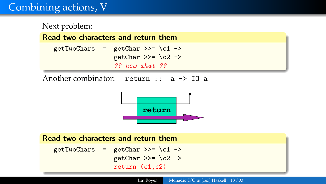# Combining actions, V

Next problem: **Read two characters and return them**  $getTwoChars = getChar >> \c1 ->$ getChar >>=  $\c2$  -> ?? now what ?? **getTwoChars :: IO (Charg) getTwoChars =**  $\frac{1}{2}$  ->  $\frac{1}{2}$  ->  $\frac{1}{2}$  ->  $\frac{1}{2}$  ->  $\frac{1}{2}$  ->  $\frac{1}{2}$  ->  $\frac{1}{2}$  ->  $\frac{1}{2}$  ->  $\frac{1}{2}$  ->  $\frac{1}{2}$  ->  $\frac{1}{2}$  ->  $\frac{1}{2}$  ->  $\frac{1}{2}$  ->  $\frac{1}{2}$  ->  $\frac{1}{2}$  ->  $\frac{1}{2}$  -

Another combinator: return :: a -> IO a



### Read two characters and return them getTwoChars = getChar >>=  $\c1$ getChar >>=  $\c2$  -> return (c1,c2)

Jim Royer [Monadic I/O in \[1ex\] Haskell](#page-0-0) 13/33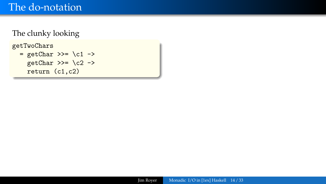## The do-notation

### The clunky looking

getTwoChars

 $=$  getChar >>= \c1 -> getChar >>=  $\c2$  -> return (c1,c2)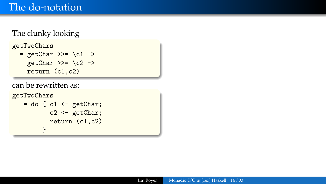### The clunky looking

getTwoChars

 $=$  getChar >>= \c1 -> getChar >>=  $\c2$  -> return (c1,c2)

can be rewritten as:

```
getTwoChars
   = do { c1 \leftarrow getChar;
            c2 \leq - getChar;
            return (c1,c2)
          }
```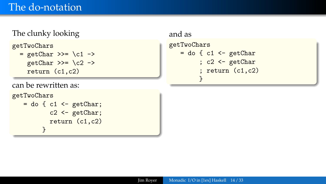## The do-notation

### The clunky looking

getTwoChars

```
= getChar >>= \c1 ->
 getChar >>= \c2 ->
 return (c1,c2)
```
can be rewritten as:

getTwoChars

```
= do \{ c1 \leq -\text{getChar};c2 \leftarrow getChar;return (c1,c2)
       }
```

```
and as
getTwoChars
   = do \{ c1 \le -\text{ getChar}; c2 <- getChar
          ; return (c1,c2)
         }
```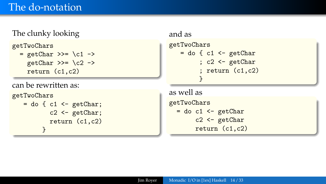### The clunky looking

getTwoChars

```
= getChar >>= \c1 ->
 getChar >>= \c2 ->
 return (c1,c2)
```
can be rewritten as:

```
getTwoChars
```

```
= do { c1 <- getChar;
        c2 \leftarrow getChar;return (c1,c2)
      }
```

```
and as
getTwoChars
   = do \{ c1 \le -\text{ getChar}; c2 <- getChar
          ; return (c1,c2)
         }
```

```
as well as
getTwoChars
  = do c1 \leq getChar
       c2 <- getChar
       return (c1,c2)
```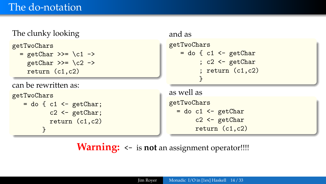### The clunky looking

getTwoChars

```
= getChar >>= \c1 ->
 getChar >>= \c2 ->
 return (c1,c2)
```
can be rewritten as:

```
getTwoChars
   = do \{ c1 \leq -\text{getChar};c2 <- getChar;
            return (c1,c2)
          }
```

```
and as
getTwoChars
   = do \{ c1 \le -\text{ getChar}; c2 <- getChar
          ; return (c1,c2)
         }
```

```
as well as
getTwoChars
  = do c1 \leq getChar
       c2 <- getChar
       return (c1,c2)
```
**Warning:** <- is **not** an assignment operator!!!!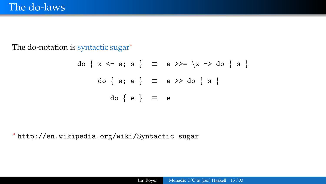The do-notation is syntactic sugar<sup>\*</sup>

$$
do \{ x \le -e; s \} \equiv e \gg = \{x \Rightarrow do \{ s \}
$$
  

$$
do \{ e; e \} \equiv e \gg do \{ s \}
$$
  

$$
do \{ e \} \equiv e
$$

<sup>∗</sup> [http://en.wikipedia.org/wiki/Syntactic\\_sugar](http://en.wikipedia.org/wiki/Syntactic_sugar)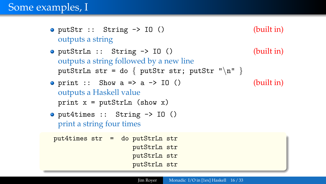- $\bullet$  putStr :: String  $\rightarrow$  IO () (built in) outputs a string
- $\bullet$  putStrLn :: String  $\rightarrow$  IO () (built in) outputs a string followed by a new line putStrLn str = do { putStr str; putStr " $\n\cdot$ " }
- print :: Show  $a \Rightarrow a \Rightarrow 10$  () (built in) outputs a Haskell value print  $x = putStrLn$  (show x)
- put4times :: String -> IO () print a string four times

put4times str = do putStrLn str putStrLn str putStrLn str putStrLn str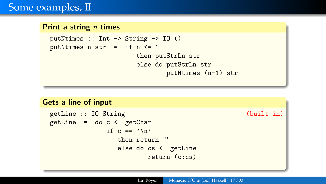## Some examples, II

#### Print a string *n* times

```
putNtimes :: Int -> String -> IO ()
putNtimes n str = if n \leq 1
                       then putStrLn str
                       else do putStrLn str
                               putNtimes (n-1) str
```
#### Gets a line of input

```
getLine :: IO String (built in)
getLine = do c \leftarrow getCharif c == ' \nightharpoonupthen return ""
                else do cs <- getLine
                        return (c:cs)
```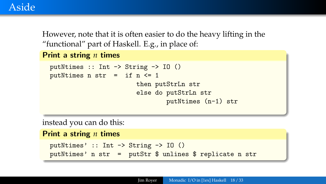## Aside

However, note that it is often easier to do the heavy lifting in the "functional" part of Haskell. E.g., in place of:

```
Print a string n times
```

```
putNtimes :: Int -> String -> IO ()
putNtimes n str = if n \leq 1
                       then putStrLn str
                       else do putStrLn str
                               putNtimes (n-1) str
```
instead you can do this:

```
Print a string n times
 putNtimes' :: Int -> String -> IO ()
```

```
putNtimes' n str = putStr $ unlines $ replicate n str
```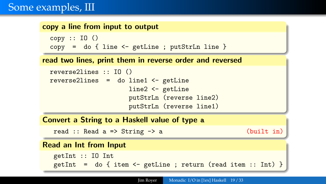## Some examples, III

#### copy a line from input to output

```
copy :: IO()copy = do {line < - getLine ; putStrLn line }
```
#### read two lines, print them in reverse order and reversed

```
reverse2lines :: IO ()
reverse2lines = do line1 \leftarrow getLine
                      line2 <- getLine
                      putStrLn (reverse line2)
                      putStrLn (reverse line1)
```
### Convert a String to a Haskell value of type a

read :: Read a => String -> a (built in)

### Read an Int from Input

```
getInt :: IO Int
getInt = do { item <- getLine ; return (read item :: Int) }
```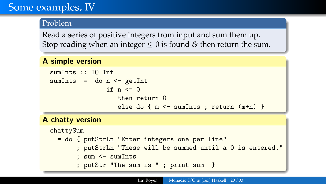# Some examples, IV

### Problem

Read a series of positive integers from input and sum them up. Stop reading when an integer ≤ 0 is found *&* then return the sum.

#### A simple version

```
sumInts :: IO Int
sumInts = do n < - getIntif n \leq 0then return 0
                  else do { m <- sumInts ; return (m+n) }
```
### A chatty version

```
chattySum
  = do { putStrLn "Enter integers one per line"
       ; putStrLn "These will be summed until a 0 is entered."
       ; sum <- sumInts
       ; putStr "The sum is " ; print sum }
```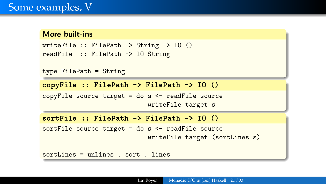#### More built-ins

```
writeFile :: FilePath \rightarrow String \rightarrow IO ()
readFile :: FilePath -> IO String
```

```
type FilePath = String
```

```
copyFile :: FilePath -> FilePath -> IO ()
```

```
copyFile source target = do s <- readFile source
                            writeFile target s
```

```
sortFile :: FilePath -> FilePath -> IO ()
```

```
sortFile source target = do s \leftarrow readFile source
                               writeFile target (sortLines s)
```
sortLines = unlines . sort . lines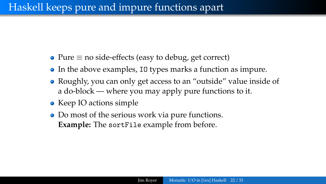# Haskell keeps pure and impure functions apart

- Pure  $\equiv$  no side-effects (easy to debug, get correct)
- In the above examples, IO types marks a function as impure.
- Roughly, you can only get access to an "outside" value inside of a do-block — where you may apply pure functions to it.
- Keep IO actions simple
- Do most of the serious work via pure functions. **Example:** The sortFile example from before.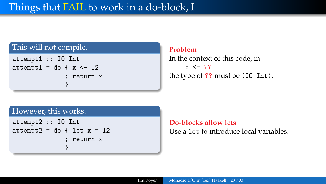### This will not compile.

```
attempt1 :: IO Int
attempt1 = do { x <- 12
              ; return x
              }
```
#### **Problem**

In the context of this code, in:  $x \leftarrow 77$ the type of ?? must be (IO Int).

### However, this works.

```
attempt2 :: IO Int
attempt2 = do { let x = 12; return x
              }
```
**Do-blocks allow lets** Use a let to introduce local variables.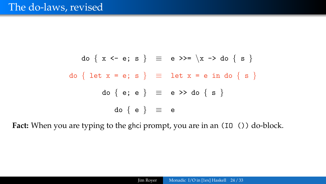### The do-laws, revised

$$
do \{ x \le e; s \} \equiv e \gg = \{x \to do \{ s \}
$$
  

$$
do \{ let x = e; s \} \equiv let x = e in do \{ s \}
$$
  

$$
do \{ e; e \} \equiv e \gg do \{ s \}
$$
  

$$
do \{ e \} \equiv e
$$

Fact: When you are typing to the ghci prompt, you are in an (I0 ()) do-block.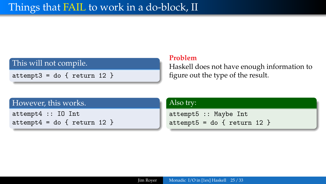### This will not compile.

 $attempt3 = do { return 12 }$ 

#### **Problem**

Haskell does not have enough information to figure out the type of the result.

### However, this works.

attempt4 :: IO Int  $attempt4 = do { return 12 }$ 

#### Also try:

```
attempt5 :: Maybe Int
attempt5 = do { return 12 }
```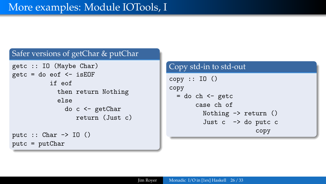### Safer versions of getChar & putChar

```
getc :: IO (Maybe Char)
getc = do eof < -isEOF
          if eof
            then return Nothing
            else
               do c <- getChar
                  return (Just c)
putc :: Char \rightarrow IO ()
putc = putChar
```
### Copy std-in to std-out  $copy :: ID()$ copy  $=$  do ch  $\leq$  getc case ch of Nothing  $\rightarrow$  return () Just  $c \rightarrow do$  putc  $c$ copy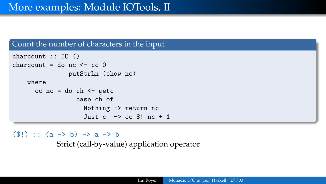#### Count the number of characters in the input

```
charcount :: IO ()
charcount = do nc \leq cc 0
                putStrLn (show nc)
    where
      cc nc = do ch < - getccase ch of
                    Nothing -> return nc
                    Just c \rightarrow cc $! nc + 1
```
 $(\$!)$  ::  $(a \rightarrow b) \rightarrow a \rightarrow b$ 

Strict (call-by-value) application operator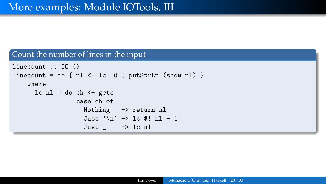#### Count the number of lines in the input

```
linecount :: IO ()
linecount = do { n1 <- lc 0; putStrLn (show n1) }
    where
      lc nl = do ch \leftarrow getccase ch of
                      Nothing -> return nl
                      Just '\n\frac{\nu}{-} -> 1c $! nl + 1
                      Just \angle \rightarrow 1c n1
```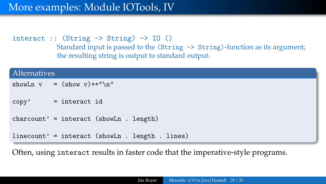## More examples: Module IOTools, IV

interact ::  $(String \rightarrow String) \rightarrow [0]$ Standard input is passed to the (String -> String)-function as its argument; the resulting string is output to standard output.

| <b>Alternatives</b> |                                                 |  |  |
|---------------------|-------------------------------------------------|--|--|
|                     | showLn $v = (show v)++''\nu''$                  |  |  |
|                     | $copy'$ = interact id                           |  |  |
|                     | $charcount' = interact (showLn . length)$       |  |  |
|                     | linecount' = interact (showLn . length . lines) |  |  |

Often, using interact results in faster code that the imperative-style programs.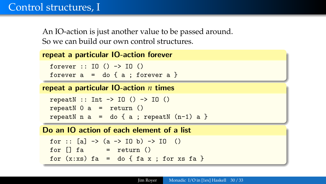# Control structures, I

An IO-action is just another value to be passed around. So we can build our own control structures.

```
repeat a particular IO-action forever
```

```
forever :: IO () -> IO ()forever a = do \{ a : for every a \}
```
repeat a particular IO-action *n* times

```
repeatN :: Int \rightarrow IO () \rightarrow IO ()
repeatN 0 a = return ()
repeatN n a = do \{ a ; repeatN (n-1) a \}
```
Do an IO action of each element of a list

```
for :: [a] \rightarrow (a \rightarrow 10 \ b) \rightarrow 10 ()
for \lceil \cdot \rceil fa = return ()
for (x:xs) fa = do { fa x ; for xs fa }
```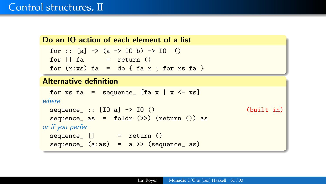## Control structures, II

#### Do an IO action of each element of a list

```
for :: [a] \rightarrow (a \rightarrow 10 \ b) \rightarrow 10 ()
for \left[\right] fa = return ()
for (x:xs) fa = do { fa x ; for xs fa }
```
### Alternative definition

```
for xs fa = sequence_ [fa x | x \leftarrow xs]
where
 sequence_ :: [IO a] \rightarrow IO () (built in)
 sequence_ as = foldr (\gg) (return ()) as
or if you perfer
 sequence_ [] = return ()
 sequence (a:as) = a \rightarrow (sequence as)
```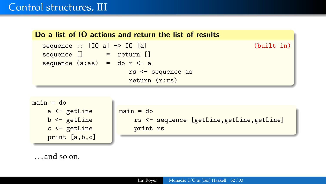## Control structures, III





| main = do |          |                                            |
|-----------|----------|--------------------------------------------|
|           |          | rs <- sequence [getLine, getLine, getLine] |
|           | print rs |                                            |

. . . and so on.